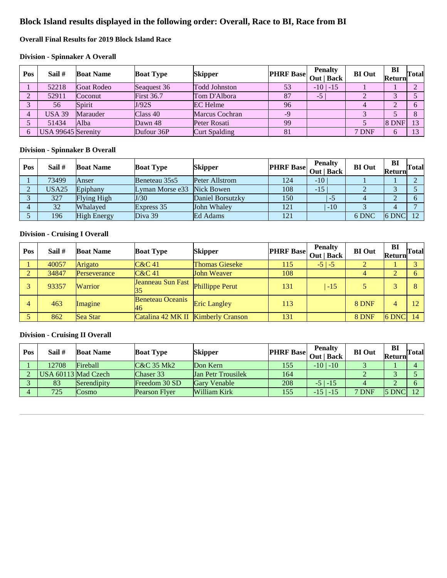# **Block Island results displayed in the following order: Overall, Race to BI, Race from BI**

# **Overall Final Results for 2019 Block Island Race**

#### **Division - Spinnaker A Overall**

| Pos | Sail #             | <b>Boat Name</b>  | <b>Boat Type</b>  | <b>Skipper</b>       | <b>PHRF</b> Base | <b>Penalty</b><br>Out   Back | <b>BI</b> Out | BI<br>Return | Total |
|-----|--------------------|-------------------|-------------------|----------------------|------------------|------------------------------|---------------|--------------|-------|
|     | 52218              | <b>Goat Rodeo</b> | Seaguest 36       | <b>Todd Johnston</b> | 53               | $-10$   $-15$                |               |              |       |
| ◠   | 52911              | Coconut           | <b>First 36.7</b> | Tom D'Albora         | 87               | $-5'$                        |               |              |       |
|     | 56                 | Spirit            | J/92S             | <b>EC</b> Helme      | 96               |                              |               | $\bigcap$    |       |
|     | <b>USA 39</b>      | Marauder          | Class 40          | Marcus Cochran       | $-9$             |                              |               |              |       |
|     | 51434              | Alba              | Dawn 48           | Peter Rosati         | 99               |                              |               | 8 DNF        | 13    |
|     | USA 99645 Serenity |                   | Dufour 36P        | <b>Curt Spalding</b> | 81               |                              | 7 DNF         | 6            | 13    |

#### **Division - Spinnaker B Overall**

| Pos | Sail # | <b>Boat Name</b>   | <b>Boat Type</b> | <b>Skipper</b>   | $\left \text{PHRF Base}\right $ Out   Back | <b>Penalty</b> | <b>BI</b> Out | BI<br>Returnl | Total |
|-----|--------|--------------------|------------------|------------------|--------------------------------------------|----------------|---------------|---------------|-------|
|     | 73499  | Anser              | Beneteau 35s5    | Peter Allstrom   | 124                                        | $-10$          |               |               |       |
|     | USA25  | Epiphany           | Lyman Morse e33  | Nick Bowen       | 108                                        | $-15$          |               |               |       |
|     | 327    | Flying High        | J/30             | Daniel Borsutzky | 150                                        | $-5$           |               |               |       |
|     | 32     | <b>Whalaved</b>    | Express 35       | John Whaley      | 121                                        | $-10$          |               |               |       |
|     | 196    | <b>High Energy</b> | Diva 39          | Ed Adams         | 121                                        |                | 6 DNC         | 6 DNC         | 12    |

# **Division - Cruising I Overall**

| Pos | Sail # | <b>Boat Name</b> | <b>Boat Type</b>                   | <b>Skipper</b>         | <b>PHRF Base</b> | <b>Penalty</b><br>Out   Back | <b>BI</b> Out | BI<br>Return | <b>Total</b> |
|-----|--------|------------------|------------------------------------|------------------------|------------------|------------------------------|---------------|--------------|--------------|
|     | 40057  | Arigato          | $C&C$ 41                           | <b>Thomas Gieseke</b>  | 115              | $-5$   $-5$                  |               |              |              |
| ◠   | 34847  | Perseverance     | $C&C$ 41                           | John Weaver            | 108              |                              |               |              |              |
|     | 93357  | <b>Warrior</b>   | Jeanneau Sun Fast<br>35            | <b>Phillippe Perut</b> | 131              | $-15$                        |               |              |              |
| 4   | 463    | Imagine          | <b>Beneteau Oceanis</b><br>46      | <b>Eric Langley</b>    | 113              |                              | 8 DNF         |              |              |
|     | 862    | Sea Star         | Catalina 42 MK II Kimberly Cranson |                        | 131              |                              | 8 DNF         | 6 DNC        | 14           |

### **Division - Cruising II Overall**

| Pos | Sail #              | <b>Boat Name</b> | <b>Boat Type</b>      | <b>Skipper</b>            | $ $ PHRF Base $ $ Out $ $ Back $ $ $ $ $ $ | <b>Penalty</b> | <b>BI</b> Out | BI<br>Return | Total       |
|-----|---------------------|------------------|-----------------------|---------------------------|--------------------------------------------|----------------|---------------|--------------|-------------|
|     | 12708               | <b>Fireball</b>  | <b>C&amp;C 35 Mk2</b> | Don Kern                  | 155                                        | $-10$   $-10$  |               |              |             |
|     | USA 60113 Mad Czech |                  | Chaser 33             | <b>Jan Petr Trousilek</b> | 164                                        |                |               |              |             |
|     | 83                  | Serendipity      | Freedom 30 SD         | <b>Gary Venable</b>       | 208                                        | $-5$   $-15$   |               |              |             |
|     | 725                 | Cosmo            | <b>Pearson Flver</b>  | William Kirk              | 155                                        | $-15$   $-15$  | 7 DNF         | 5 DNC        | $1^{\circ}$ |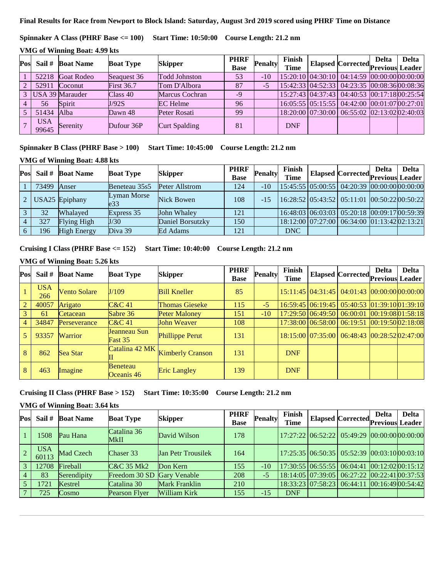#### **Final Results for Race from Newport to Block Island: Saturday, August 3rd 2019 scored using PHRF Time on Distance**

**Spinnaker A Class (PHRF Base <= 100) Start Time: 10:50:00 Course Length: 21.2 nm**

| Pos           | Sail #              | <b>Boat Name</b>  | <b>Boat Type</b>  | <b>Skipper</b>       | <b>PHRF</b><br><b>Base</b> | <b>Penalty</b> | Finish<br><b>Time</b> | Elapsed Corrected Previous Leader            | <b>Delta</b> |
|---------------|---------------------|-------------------|-------------------|----------------------|----------------------------|----------------|-----------------------|----------------------------------------------|--------------|
|               | 52218               | <b>Goat Rodeo</b> | Seaguest 36       | <b>Todd Johnston</b> | 53                         | $-10$          |                       | 15:20:10 04:30:10 04:14:59 00:00:00 00:00:00 |              |
| $2^{\circ}$   | 52911               | Coconut           | <b>First 36.7</b> | Tom D'Albora         | 87                         | $-5$           |                       | 15:42:33 04:52:33 04:23:35 00:08:36 00:08:36 |              |
| $\mathcal{E}$ |                     | USA 39 Marauder   | Class 40          | Marcus Cochran       | $-9$                       |                |                       | 15:27:43 04:37:43 04:40:53 00:17:18 00:25:54 |              |
| 4             | 56                  | Spirit            | J/92S             | <b>EC</b> Helme      | 96                         |                |                       | 16:05:55 05:15:55 04:42:00 00:01:07 00:27:01 |              |
|               | 51434               | Alba              | Dawn 48           | Peter Rosati         | 99                         |                |                       | 18:20:00 07:30:00 06:55:02 02:13:02 02:40:03 |              |
|               | <b>USA</b><br>99645 | Serenity          | Dufour 36P        | <b>Curt Spalding</b> | 81                         |                | <b>DNF</b>            |                                              |              |

#### **Spinnaker B Class (PHRF Base > 100) Start Time: 10:45:00 Course Length: 21.2 nm**

#### **VMG of Winning Boat: 4.88 kts**

| Pos |       | Sail # Boat Name   | <b>Boat Type</b>               | <b>Skipper</b>   | <b>PHRF</b><br><b>Base</b> | <b>Penalty</b> | Finish<br><b>Time</b> | Elapsed Corrected Previous Leader            | <b>Delta</b> | <b>Delta</b> |
|-----|-------|--------------------|--------------------------------|------------------|----------------------------|----------------|-----------------------|----------------------------------------------|--------------|--------------|
|     | 73499 | Anser              | Beneteau 35s5                  | Peter Allstrom   | 124                        | $-10^{-}$      |                       | 15:45:55 05:00:55 04:20:39 00:00:00 00:00:00 |              |              |
|     |       | USA25 Epiphany     | Lyman Morse<br>e <sub>33</sub> | Nick Bowen       | 108                        | $-15$          |                       | 16:28:52 05:43:52 05:11:01 00:50:22 00:50:22 |              |              |
|     | 32    | Whalaved           | Express 35                     | John Whaley      | 121                        |                |                       | 16:48:03 06:03:03 05:20:18 00:09:17 00:59:39 |              |              |
|     | 327   | Flying High        | J/30                           | Daniel Borsutzky | 150                        |                |                       | 18:12:00 07:27:00 06:34:00 01:13:42 02:13:21 |              |              |
|     | 196   | <b>High Energy</b> | Diva 39                        | Ed Adams         | 121                        |                | <b>DNC</b>            |                                              |              |              |

# **Cruising I Class (PHRF Base <= 152) Start Time: 10:40:00 Course Length: 21.2 nm**

# **VMG of Winning Boat: 5.26 kts**

| Pos            | Sail #            | <b>Boat Name</b>    | <b>Boat Type</b>        | <b>Skipper</b>          | <b>PHRF</b><br><b>Base</b> | <b>Penalty</b> | Finish<br><b>Time</b> | Elapsed Corrected Previous                           | <b>Delta</b> | <b>Delta</b><br>Leader |
|----------------|-------------------|---------------------|-------------------------|-------------------------|----------------------------|----------------|-----------------------|------------------------------------------------------|--------------|------------------------|
|                | <b>USA</b><br>266 | <b>Vento Solare</b> | J/109                   | <b>Bill Kneller</b>     | 85                         |                |                       | 15:11:45 04:31:45 04:01:43 00:00:00 00:00:00         |              |                        |
| $\overline{2}$ | 40057             | Arigato             | $C&C$ 41                | <b>Thomas Gieseke</b>   | 115                        | $-5$           |                       | 16:59:45 06:19:45 05:40:53 01:39:10 01:39:10         |              |                        |
| 3 <sup>1</sup> | 61                | Cetacean            | Sabre 36                | <b>Peter Maloney</b>    | 151                        | $-10$          |                       | 17:29:50 06:49:50 06:00:01 00:19:08 01:58:18         |              |                        |
| $\overline{4}$ | 34847             | Perseverance        | $C&C$ 41                | John Weaver             | 108                        |                |                       | 17:38:00 06:58:00 06:19:51 00:19:50 02:18:08         |              |                        |
|                | 93357             | <b>Warrior</b>      | Jeanneau Sun<br>Fast 35 | <b>Phillippe Perut</b>  | 131                        |                |                       | 18:15:00   07:35:00   06:48:43   00:28:52   02:47:00 |              |                        |
| 8              | 862               | Sea Star            | Catalina 42 MK          | <b>Kimberly Cranson</b> | 131                        |                | <b>DNF</b>            |                                                      |              |                        |
| 8              | 463               | Imagine             | Beneteau<br>Oceanis 46  | <b>Eric Langley</b>     | 139                        |                | <b>DNF</b>            |                                                      |              |                        |

# **Cruising II Class (PHRF Base > 152) Start Time: 10:35:00 Course Length: 21.2 nm**

### **VMG of Winning Boat: 3.64 kts**

| Pos             | Sail #              | <b>Boat Name</b> | <b>Boat Type</b>      | <b>Skipper</b>            | <b>PHRF</b><br><b>Base</b> | <b>Penalty</b> | Finish<br><b>Time</b> | Elapsed Corrected Previous                   | <b>Delta</b> | <b>Delta</b><br>Leader |
|-----------------|---------------------|------------------|-----------------------|---------------------------|----------------------------|----------------|-----------------------|----------------------------------------------|--------------|------------------------|
|                 | 1508                | Pau Hana         | Catalina 36<br>MkII   | David Wilson              | 178                        |                |                       | 17:27:22 06:52:22 05:49:29 00:00:00 00:00:00 |              |                        |
| $\sqrt{2}$      | <b>USA</b><br>60113 | Mad Czech        | Chaser 33             | <b>Jan Petr Trousilek</b> | 164                        |                |                       | 17:25:35 06:50:35 05:52:39 00:03:10 00:03:10 |              |                        |
| $\overline{3}$  | 12708               | <b>Fireball</b>  | <b>C&amp;C 35 Mk2</b> | Don Kern                  | 155                        | $-10$          |                       | 17:30:55 06:55:55 06:04:41 00:12:02 00:15:12 |              |                        |
| $\overline{4}$  | 83                  | Serendipity      | Freedom 30 SD         | <b>Gary Venable</b>       | 208                        | $-5$           |                       | 18:14:05 07:39:05 06:27:22 00:22:41 00:37:53 |              |                        |
| $\sqrt{5}$      | 1721                | Kestrel          | Catalina 30           | Mark Franklin             | 210                        |                |                       | 18:33:23 07:58:23 06:44:11 00:16:49 00:54:42 |              |                        |
| $7\phantom{.0}$ | 725                 | <b>Cosmo</b>     | <b>Pearson Flyer</b>  | William Kirk              | 155                        | $-15$          | <b>DNF</b>            |                                              |              |                        |